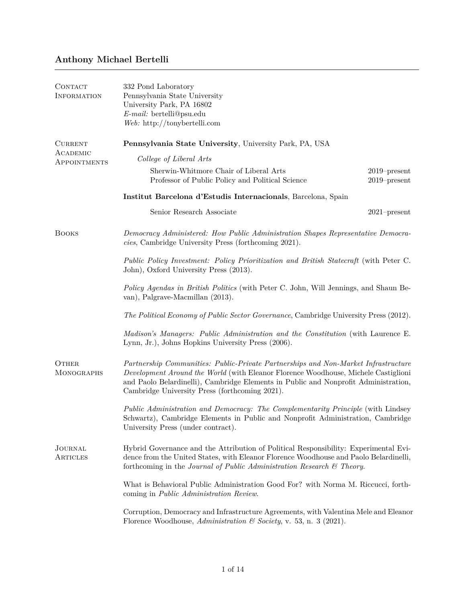## **Anthony Michael Bertelli**

| CONTACT<br><b>INFORMATION</b> | 332 Pond Laboratory<br>Pennsylvania State University<br>University Park, PA 16802<br>$E$ -mail: bertelli@psu.edu<br>Web: http://tonybertelli.com                                                                                                                                                                  |                                    |  |
|-------------------------------|-------------------------------------------------------------------------------------------------------------------------------------------------------------------------------------------------------------------------------------------------------------------------------------------------------------------|------------------------------------|--|
| <b>CURRENT</b>                | Pennsylvania State University, University Park, PA, USA                                                                                                                                                                                                                                                           |                                    |  |
| ACADEMIC<br>APPOINTMENTS      | College of Liberal Arts                                                                                                                                                                                                                                                                                           |                                    |  |
|                               | Sherwin-Whitmore Chair of Liberal Arts<br>Professor of Public Policy and Political Science                                                                                                                                                                                                                        | $2019$ -present<br>$2019$ -present |  |
|                               | Institut Barcelona d'Estudis Internacionals, Barcelona, Spain                                                                                                                                                                                                                                                     |                                    |  |
|                               | Senior Research Associate                                                                                                                                                                                                                                                                                         | $2021$ -present                    |  |
| <b>BOOKS</b>                  | Democracy Administered: How Public Administration Shapes Representative Democra-<br>cies, Cambridge University Press (forthcoming 2021).                                                                                                                                                                          |                                    |  |
|                               | Public Policy Investment: Policy Prioritization and British Statecraft (with Peter C.<br>John), Oxford University Press (2013).                                                                                                                                                                                   |                                    |  |
|                               | <i>Policy Agendas in British Politics</i> (with Peter C. John, Will Jennings, and Shaun Be-<br>van), Palgrave-Macmillan (2013).                                                                                                                                                                                   |                                    |  |
|                               | The Political Economy of Public Sector Governance, Cambridge University Press (2012).                                                                                                                                                                                                                             |                                    |  |
|                               | Madison's Managers: Public Administration and the Constitution (with Laurence E.<br>Lynn, Jr.), Johns Hopkins University Press (2006).                                                                                                                                                                            |                                    |  |
| <b>OTHER</b><br>MONOGRAPHS    | Partnership Communities: Public-Private Partnerships and Non-Market Infrastructure<br>Development Around the World (with Eleanor Florence Woodhouse, Michele Castiglioni<br>and Paolo Belardinelli), Cambridge Elements in Public and Nonprofit Administration,<br>Cambridge University Press (forthcoming 2021). |                                    |  |
|                               | Public Administration and Democracy: The Complementarity Principle (with Lindsey<br>Schwartz), Cambridge Elements in Public and Nonprofit Administration, Cambridge<br>University Press (under contract).                                                                                                         |                                    |  |
| JOURNAL<br>ARTICLES           | Hybrid Governance and the Attribution of Political Responsibility: Experimental Evi-<br>dence from the United States, with Eleanor Florence Woodhouse and Paolo Belardinelli,<br>forthcoming in the Journal of Public Administration Research $\mathcal C$ Theory.                                                |                                    |  |
|                               | What is Behavioral Public Administration Good For? with Norma M. Riccucci, forth-<br>coming in <i>Public Administration Review</i> .                                                                                                                                                                              |                                    |  |
|                               | Corruption, Democracy and Infrastructure Agreements, with Valentina Mele and Eleanor<br>Florence Woodhouse, Administration & Society, v. 53, n. 3 (2021).                                                                                                                                                         |                                    |  |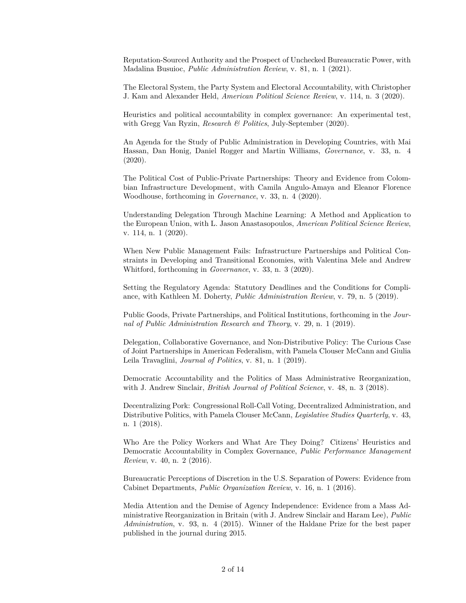Reputation-Sourced Authority and the Prospect of Unchecked Bureaucratic Power, with Madalina Busuioc, *Public Administration Review*, v. 81, n. 1 (2021).

The Electoral System, the Party System and Electoral Accountability, with Christopher J. Kam and Alexander Held, *American Political Science Review*, v. 114, n. 3 (2020).

Heuristics and political accountability in complex governance: An experimental test, with Gregg Van Ryzin, *Research & Politics*, July-September (2020).

An Agenda for the Study of Public Administration in Developing Countries, with Mai Hassan, Dan Honig, Daniel Rogger and Martin Williams, *Governance*, v. 33, n. 4 (2020).

The Political Cost of Public-Private Partnerships: Theory and Evidence from Colombian Infrastructure Development, with Camila Angulo-Amaya and Eleanor Florence Woodhouse, forthcoming in *Governance*, v. 33, n. 4 (2020).

Understanding Delegation Through Machine Learning: A Method and Application to the European Union, with L. Jason Anastasopoulos, *American Political Science Review*, v. 114, n. 1 (2020).

When New Public Management Fails: Infrastructure Partnerships and Political Constraints in Developing and Transitional Economies, with Valentina Mele and Andrew Whitford, forthcoming in *Governance*, v. 33, n. 3 (2020).

Setting the Regulatory Agenda: Statutory Deadlines and the Conditions for Compliance, with Kathleen M. Doherty, *Public Administration Review*, v. 79, n. 5 (2019).

Public Goods, Private Partnerships, and Political Institutions, forthcoming in the *Journal of Public Administration Research and Theory*, v. 29, n. 1 (2019).

Delegation, Collaborative Governance, and Non-Distributive Policy: The Curious Case of Joint Partnerships in American Federalism, with Pamela Clouser McCann and Giulia Leila Travaglini, *Journal of Politics*, v. 81, n. 1 (2019).

Democratic Accountability and the Politics of Mass Administrative Reorganization, with J. Andrew Sinclair, *British Journal of Political Science*, v. 48, n. 3 (2018).

Decentralizing Pork: Congressional Roll-Call Voting, Decentralized Administration, and Distributive Politics, with Pamela Clouser McCann, *Legislative Studies Quarterly*, v. 43, n. 1 (2018).

Who Are the Policy Workers and What Are They Doing? Citizens' Heuristics and Democratic Accountability in Complex Governance, *Public Performance Management Review*, v. 40, n. 2 (2016).

Bureaucratic Perceptions of Discretion in the U.S. Separation of Powers: Evidence from Cabinet Departments, *Public Organization Review*, v. 16, n. 1 (2016).

Media Attention and the Demise of Agency Independence: Evidence from a Mass Administrative Reorganization in Britain (with J. Andrew Sinclair and Haram Lee), *Public Administration*, v. 93, n. 4 (2015). Winner of the Haldane Prize for the best paper published in the journal during 2015.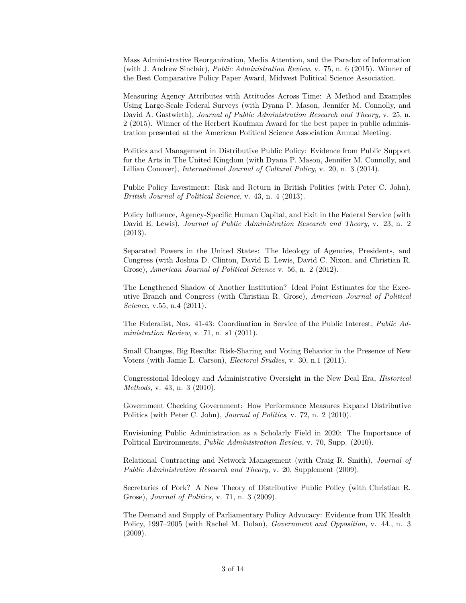Mass Administrative Reorganization, Media Attention, and the Paradox of Information (with J. Andrew Sinclair), *Public Administration Review*, v. 75, n. 6 (2015). Winner of the Best Comparative Policy Paper Award, Midwest Political Science Association.

Measuring Agency Attributes with Attitudes Across Time: A Method and Examples Using Large-Scale Federal Surveys (with Dyana P. Mason, Jennifer M. Connolly, and David A. Gastwirth), *Journal of Public Administration Research and Theory*, v. 25, n. 2 (2015). Winner of the Herbert Kaufman Award for the best paper in public administration presented at the American Political Science Association Annual Meeting.

Politics and Management in Distributive Public Policy: Evidence from Public Support for the Arts in The United Kingdom (with Dyana P. Mason, Jennifer M. Connolly, and Lillian Conover), *International Journal of Cultural Policy*, v. 20, n. 3 (2014).

Public Policy Investment: Risk and Return in British Politics (with Peter C. John), *British Journal of Political Science*, v. 43, n. 4 (2013).

Policy Influence, Agency-Specific Human Capital, and Exit in the Federal Service (with David E. Lewis), *Journal of Public Administration Research and Theory*, v. 23, n. 2 (2013).

Separated Powers in the United States: The Ideology of Agencies, Presidents, and Congress (with Joshua D. Clinton, David E. Lewis, David C. Nixon, and Christian R. Grose), *American Journal of Political Science* v. 56, n. 2 (2012).

The Lengthened Shadow of Another Institution? Ideal Point Estimates for the Executive Branch and Congress (with Christian R. Grose), *American Journal of Political Science*, v.55, n.4 (2011).

The Federalist, Nos. 41-43: Coordination in Service of the Public Interest, *Public Administration Review*, v. 71, n. s1 (2011).

Small Changes, Big Results: Risk-Sharing and Voting Behavior in the Presence of New Voters (with Jamie L. Carson), *Electoral Studies*, v. 30, n.1 (2011).

Congressional Ideology and Administrative Oversight in the New Deal Era, *Historical Methods*, v. 43, n. 3 (2010).

Government Checking Government: How Performance Measures Expand Distributive Politics (with Peter C. John), *Journal of Politics*, v. 72, n. 2 (2010).

Envisioning Public Administration as a Scholarly Field in 2020: The Importance of Political Environments, *Public Administration Review*, v. 70, Supp. (2010).

Relational Contracting and Network Management (with Craig R. Smith), *Journal of Public Administration Research and Theory*, v. 20, Supplement (2009).

Secretaries of Pork? A New Theory of Distributive Public Policy (with Christian R. Grose), *Journal of Politics*, v. 71, n. 3 (2009).

The Demand and Supply of Parliamentary Policy Advocacy: Evidence from UK Health Policy, 1997–2005 (with Rachel M. Dolan), *Government and Opposition*, v. 44., n. 3 (2009).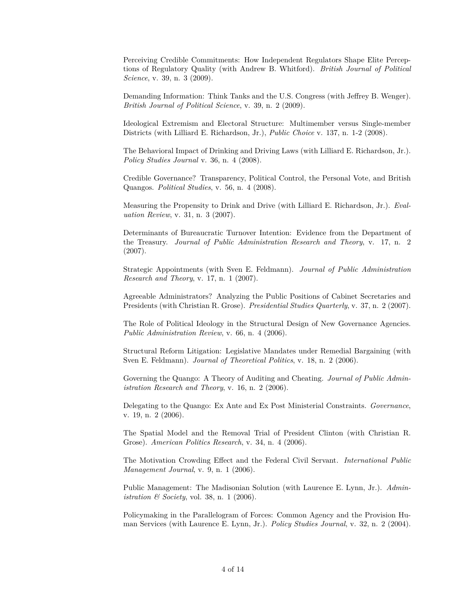Perceiving Credible Commitments: How Independent Regulators Shape Elite Perceptions of Regulatory Quality (with Andrew B. Whitford). *British Journal of Political Science*, v. 39, n. 3 (2009).

Demanding Information: Think Tanks and the U.S. Congress (with Jeffrey B. Wenger). *British Journal of Political Science*, v. 39, n. 2 (2009).

Ideological Extremism and Electoral Structure: Multimember versus Single-member Districts (with Lilliard E. Richardson, Jr.), *Public Choice* v. 137, n. 1-2 (2008).

The Behavioral Impact of Drinking and Driving Laws (with Lilliard E. Richardson, Jr.). *Policy Studies Journal* v. 36, n. 4 (2008).

Credible Governance? Transparency, Political Control, the Personal Vote, and British Quangos. *Political Studies*, v. 56, n. 4 (2008).

Measuring the Propensity to Drink and Drive (with Lilliard E. Richardson, Jr.). *Evaluation Review*, v. 31, n. 3 (2007).

Determinants of Bureaucratic Turnover Intention: Evidence from the Department of the Treasury. *Journal of Public Administration Research and Theory*, v. 17, n. 2 (2007).

Strategic Appointments (with Sven E. Feldmann). *Journal of Public Administration Research and Theory*, v. 17, n. 1 (2007).

Agreeable Administrators? Analyzing the Public Positions of Cabinet Secretaries and Presidents (with Christian R. Grose). *Presidential Studies Quarterly*, v. 37, n. 2 (2007).

The Role of Political Ideology in the Structural Design of New Governance Agencies. *Public Administration Review*, v. 66, n. 4 (2006).

Structural Reform Litigation: Legislative Mandates under Remedial Bargaining (with Sven E. Feldmann). *Journal of Theoretical Politics*, v. 18, n. 2 (2006).

Governing the Quango: A Theory of Auditing and Cheating. *Journal of Public Administration Research and Theory*, v. 16, n. 2 (2006).

Delegating to the Quango: Ex Ante and Ex Post Ministerial Constraints. *Governance*, v. 19, n. 2 (2006).

The Spatial Model and the Removal Trial of President Clinton (with Christian R. Grose). *American Politics Research*, v. 34, n. 4 (2006).

The Motivation Crowding Effect and the Federal Civil Servant. *International Public Management Journal*, v. 9, n. 1 (2006).

Public Management: The Madisonian Solution (with Laurence E. Lynn, Jr.). *Administration & Society*, vol. 38, n. 1 (2006).

Policymaking in the Parallelogram of Forces: Common Agency and the Provision Human Services (with Laurence E. Lynn, Jr.). *Policy Studies Journal*, v. 32, n. 2 (2004).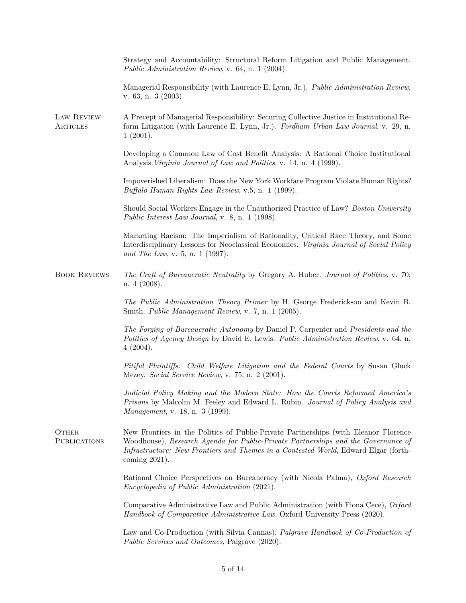|                              | Strategy and Accountability: Structural Reform Litigation and Public Management.<br>Public Administration Review, v. 64, n. 1 (2004).                                                                                                                                               |
|------------------------------|-------------------------------------------------------------------------------------------------------------------------------------------------------------------------------------------------------------------------------------------------------------------------------------|
|                              | Managerial Responsibility (with Laurence E. Lynn, Jr.). Public Administration Review,<br>v. 63, n. 3 (2003).                                                                                                                                                                        |
| LAW REVIEW<br>ARTICLES       | A Precept of Managerial Responsibility: Securing Collective Justice in Institutional Re-<br>form Litigation (with Laurence E. Lynn, Jr.). Fordham Urban Law Journal, v. 29, n.<br>1(2001).                                                                                          |
|                              | Developing a Common Law of Cost Benefit Analysis: A Rational Choice Institutional<br>Analysis. Virginia Journal of Law and Politics, v. 14, n. 4 (1999).                                                                                                                            |
|                              | Impoverished Liberalism: Does the New York Workfare Program Violate Human Rights?<br>Buffalo Human Rights Law Review, v.5, n. 1 (1999).                                                                                                                                             |
|                              | Should Social Workers Engage in the Unauthorized Practice of Law? Boston University<br><i>Public Interest Law Journal</i> , v. 8, n. 1 (1998).                                                                                                                                      |
|                              | Marketing Racism: The Imperialism of Rationality, Critical Race Theory, and Some<br>Interdisciplinary Lessons for Neoclassical Economics. Virginia Journal of Social Policy<br>and The Law, v. 5, n. 1 (1997).                                                                      |
| <b>BOOK REVIEWS</b>          | The Craft of Bureaucratic Neutrality by Gregory A. Huber. Journal of Politics, v. 70,<br>$n.4$ (2008).                                                                                                                                                                              |
|                              | The Public Administration Theory Primer by H. George Frederickson and Kevin B.<br>Smith. Public Management Review, v. 7, n. 1 (2005).                                                                                                                                               |
|                              | The Forging of Bureaucratic Autonomy by Daniel P. Carpenter and Presidents and the<br>Politics of Agency Design by David E. Lewis. Public Administration Review, v. 64, n.<br>4(2004).                                                                                              |
|                              | Pitiful Plaintiffs: Child Welfare Litigation and the Federal Courts by Susan Gluck<br>Mezey. Social Service Review, v. 75, n. 2 (2001).                                                                                                                                             |
|                              | Judicial Policy Making and the Modern State: How the Courts Reformed America's<br>Prisons by Malcolm M. Feeley and Edward L. Rubin. Journal of Policy Analysis and<br>Management, v. 18, n. 3 (1999).                                                                               |
| OTHER<br><b>PUBLICATIONS</b> | New Frontiers in the Politics of Public-Private Partnerships (with Eleanor Florence<br>Woodhouse), Research Agenda for Public-Private Partnerships and the Governance of<br>Infrastructure: New Frontiers and Themes in a Contested World, Edward Elgar (forth-<br>coming $2021$ ). |
|                              | Rational Choice Perspectives on Bureaucracy (with Nicola Palma), Oxford Research<br><i>Encyclopedia of Public Administration (2021).</i>                                                                                                                                            |
|                              | Comparative Administrative Law and Public Administration (with Fiona Cece), Oxford<br>Handbook of Comparative Administrative Law, Oxford University Press (2020).                                                                                                                   |
|                              | Law and Co-Production (with Silvia Cannas), Palgrave Handbook of Co-Production of<br><i>Public Services and Outcomes, Palgrave (2020).</i>                                                                                                                                          |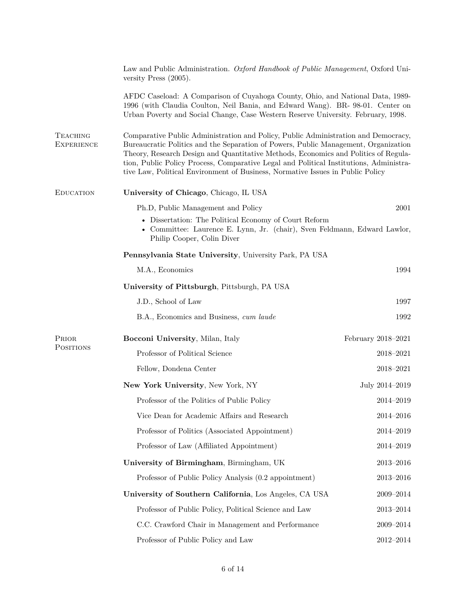|                                                                                                                                                                                                                                                                                                                                                                                                                                                                                      | Law and Public Administration. Oxford Handbook of Public Management, Oxford Uni-<br>versity Press $(2005)$ .                                                                                                                                         |                    |
|--------------------------------------------------------------------------------------------------------------------------------------------------------------------------------------------------------------------------------------------------------------------------------------------------------------------------------------------------------------------------------------------------------------------------------------------------------------------------------------|------------------------------------------------------------------------------------------------------------------------------------------------------------------------------------------------------------------------------------------------------|--------------------|
|                                                                                                                                                                                                                                                                                                                                                                                                                                                                                      | AFDC Caseload: A Comparison of Cuyahoga County, Ohio, and National Data, 1989-<br>1996 (with Claudia Coulton, Neil Bania, and Edward Wang). BR-98-01. Center on<br>Urban Poverty and Social Change, Case Western Reserve University. February, 1998. |                    |
| <b>TEACHING</b><br>Comparative Public Administration and Policy, Public Administration and Democracy,<br>Bureaucratic Politics and the Separation of Powers, Public Management, Organization<br><b>EXPERIENCE</b><br>Theory, Research Design and Quantitative Methods, Economics and Politics of Regula-<br>tion, Public Policy Process, Comparative Legal and Political Institutions, Administra-<br>tive Law, Political Environment of Business, Normative Issues in Public Policy |                                                                                                                                                                                                                                                      |                    |
| <b>EDUCATION</b>                                                                                                                                                                                                                                                                                                                                                                                                                                                                     | University of Chicago, Chicago, IL USA                                                                                                                                                                                                               |                    |
|                                                                                                                                                                                                                                                                                                                                                                                                                                                                                      | Ph.D, Public Management and Policy                                                                                                                                                                                                                   | 2001               |
|                                                                                                                                                                                                                                                                                                                                                                                                                                                                                      | • Dissertation: The Political Economy of Court Reform<br>• Committee: Laurence E. Lynn, Jr. (chair), Sven Feldmann, Edward Lawlor,<br>Philip Cooper, Colin Diver                                                                                     |                    |
|                                                                                                                                                                                                                                                                                                                                                                                                                                                                                      | Pennsylvania State University, University Park, PA USA                                                                                                                                                                                               |                    |
|                                                                                                                                                                                                                                                                                                                                                                                                                                                                                      | M.A., Economics                                                                                                                                                                                                                                      | 1994               |
|                                                                                                                                                                                                                                                                                                                                                                                                                                                                                      | University of Pittsburgh, Pittsburgh, PA USA                                                                                                                                                                                                         |                    |
|                                                                                                                                                                                                                                                                                                                                                                                                                                                                                      | J.D., School of Law                                                                                                                                                                                                                                  | 1997               |
|                                                                                                                                                                                                                                                                                                                                                                                                                                                                                      | B.A., Economics and Business, cum laude                                                                                                                                                                                                              | 1992               |
| PRIOR                                                                                                                                                                                                                                                                                                                                                                                                                                                                                | Bocconi University, Milan, Italy                                                                                                                                                                                                                     | February 2018–2021 |
| <b>POSITIONS</b>                                                                                                                                                                                                                                                                                                                                                                                                                                                                     | Professor of Political Science                                                                                                                                                                                                                       | 2018-2021          |
|                                                                                                                                                                                                                                                                                                                                                                                                                                                                                      | Fellow, Dondena Center                                                                                                                                                                                                                               | 2018-2021          |
|                                                                                                                                                                                                                                                                                                                                                                                                                                                                                      | New York University, New York, NY                                                                                                                                                                                                                    | July 2014-2019     |
|                                                                                                                                                                                                                                                                                                                                                                                                                                                                                      | Professor of the Politics of Public Policy                                                                                                                                                                                                           | 2014-2019          |
|                                                                                                                                                                                                                                                                                                                                                                                                                                                                                      | Vice Dean for Academic Affairs and Research                                                                                                                                                                                                          | $2014 - 2016$      |
|                                                                                                                                                                                                                                                                                                                                                                                                                                                                                      | Professor of Politics (Associated Appointment)                                                                                                                                                                                                       | 2014-2019          |
|                                                                                                                                                                                                                                                                                                                                                                                                                                                                                      | Professor of Law (Affiliated Appointment)                                                                                                                                                                                                            | 2014-2019          |
|                                                                                                                                                                                                                                                                                                                                                                                                                                                                                      | University of Birmingham, Birmingham, UK                                                                                                                                                                                                             | $2013 - 2016$      |
|                                                                                                                                                                                                                                                                                                                                                                                                                                                                                      | Professor of Public Policy Analysis (0.2 appointment)                                                                                                                                                                                                | $2013 - 2016$      |
|                                                                                                                                                                                                                                                                                                                                                                                                                                                                                      | University of Southern California, Los Angeles, CA USA                                                                                                                                                                                               | 2009-2014          |
|                                                                                                                                                                                                                                                                                                                                                                                                                                                                                      | Professor of Public Policy, Political Science and Law                                                                                                                                                                                                | 2013-2014          |
|                                                                                                                                                                                                                                                                                                                                                                                                                                                                                      | C.C. Crawford Chair in Management and Performance                                                                                                                                                                                                    | 2009-2014          |
|                                                                                                                                                                                                                                                                                                                                                                                                                                                                                      | Professor of Public Policy and Law                                                                                                                                                                                                                   | 2012-2014          |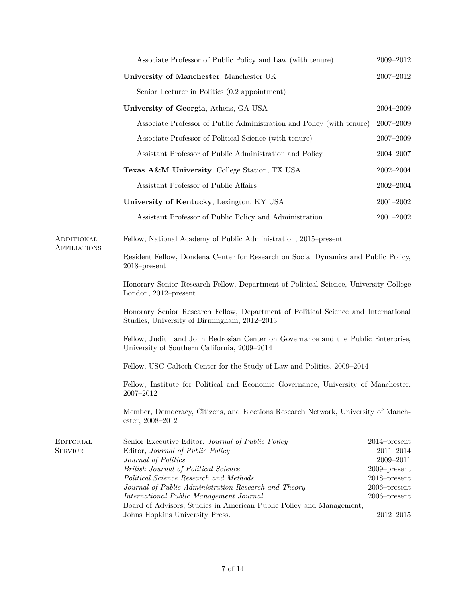|                             | Associate Professor of Public Policy and Law (with tenure)                                                                                           | 2009-2012                                                            |
|-----------------------------|------------------------------------------------------------------------------------------------------------------------------------------------------|----------------------------------------------------------------------|
|                             | University of Manchester, Manchester UK                                                                                                              | 2007-2012                                                            |
|                             | Senior Lecturer in Politics (0.2 appointment)                                                                                                        |                                                                      |
|                             | University of Georgia, Athens, GA USA                                                                                                                | $2004 - 2009$                                                        |
|                             | Associate Professor of Public Administration and Policy (with tenure)                                                                                | $2007 - 2009$                                                        |
|                             | Associate Professor of Political Science (with tenure)                                                                                               | 2007-2009                                                            |
|                             | Assistant Professor of Public Administration and Policy                                                                                              | 2004-2007                                                            |
|                             | Texas A&M University, College Station, TX USA                                                                                                        | $2002 - 2004$                                                        |
|                             | Assistant Professor of Public Affairs                                                                                                                | $2002 - 2004$                                                        |
|                             | University of Kentucky, Lexington, KY USA                                                                                                            | $2001 - 2002$                                                        |
|                             | Assistant Professor of Public Policy and Administration                                                                                              | $2001 - 2002$                                                        |
| ADDITIONAL                  | Fellow, National Academy of Public Administration, 2015–present                                                                                      |                                                                      |
| <b>AFFILIATIONS</b>         | Resident Fellow, Dondena Center for Research on Social Dynamics and Public Policy,<br>$2018$ -present                                                |                                                                      |
|                             | Honorary Senior Research Fellow, Department of Political Science, University College<br>London, 2012–present                                         |                                                                      |
|                             | Honorary Senior Research Fellow, Department of Political Science and International<br>Studies, University of Birmingham, 2012-2013                   |                                                                      |
|                             | Fellow, Judith and John Bedrosian Center on Governance and the Public Enterprise,<br>University of Southern California, 2009–2014                    |                                                                      |
|                             | Fellow, USC-Caltech Center for the Study of Law and Politics, 2009–2014                                                                              |                                                                      |
|                             | Fellow, Institute for Political and Economic Governance, University of Manchester,<br>$2007\hbox{--}2012$                                            |                                                                      |
|                             | Member, Democracy, Citizens, and Elections Research Network, University of Manch-<br>ester, 2008–2012                                                |                                                                      |
| EDITORIAL<br><b>SERVICE</b> | Senior Executive Editor, Journal of Public Policy<br>Editor, Journal of Public Policy<br>Journal of Politics<br>British Journal of Political Science | $2014$ -present<br>$2011 - 2014$<br>$2009 - 2011$<br>$2009$ -present |
|                             | Political Science Research and Methods                                                                                                               | $2018$ -present                                                      |
|                             | Journal of Public Administration Research and Theory<br>International Public Management Journal                                                      | $2006$ -present<br>$2006$ -present                                   |
|                             | Board of Advisors, Studies in American Public Policy and Management,                                                                                 |                                                                      |
|                             | Johns Hopkins University Press.                                                                                                                      | $2012 - 2015$                                                        |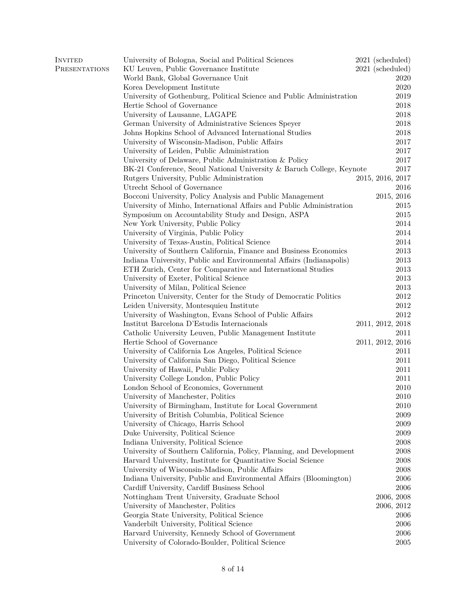| <b>INVITED</b> | University of Bologna, Social and Political Sciences                  | 2021 (scheduled) |            |
|----------------|-----------------------------------------------------------------------|------------------|------------|
| PRESENTATIONS  | KU Leuven, Public Governance Institute                                | 2021 (scheduled) |            |
|                | World Bank, Global Governance Unit                                    |                  | 2020       |
|                | Korea Development Institute                                           |                  | 2020       |
|                | University of Gothenburg, Political Science and Public Administration |                  | 2019       |
|                | Hertie School of Governance                                           |                  | 2018       |
|                | University of Lausanne, LAGAPE                                        |                  | 2018       |
|                | German University of Administrative Sciences Speyer                   |                  | 2018       |
|                | Johns Hopkins School of Advanced International Studies                |                  | 2018       |
|                | University of Wisconsin-Madison, Public Affairs                       |                  | 2017       |
|                | University of Leiden, Public Administration                           |                  | $2017\,$   |
|                | University of Delaware, Public Administration & Policy                |                  | 2017       |
|                | BK-21 Conference, Seoul National University & Baruch College, Keynote |                  | 2017       |
|                | Rutgers University, Public Administration                             | 2015, 2016, 2017 |            |
|                | Utrecht School of Governance                                          |                  | 2016       |
|                | Bocconi University, Policy Analysis and Public Management             | 2015, 2016       |            |
|                | University of Minho, International Affairs and Public Administration  |                  | 2015       |
|                | Symposium on Accountability Study and Design, ASPA                    |                  | 2015       |
|                | New York University, Public Policy                                    |                  | 2014       |
|                | University of Virginia, Public Policy                                 |                  | 2014       |
|                | University of Texas-Austin, Political Science                         |                  | 2014       |
|                | University of Southern California, Finance and Business Economics     |                  | 2013       |
|                | Indiana University, Public and Environmental Affairs (Indianapolis)   |                  | 2013       |
|                | ETH Zurich, Center for Comparative and International Studies          |                  | 2013       |
|                | University of Exeter, Political Science                               |                  | $\,2013$   |
|                | University of Milan, Political Science                                |                  | $\,2013$   |
|                | Princeton University, Center for the Study of Democratic Politics     |                  | 2012       |
|                | Leiden University, Montesquieu Institute                              |                  | 2012       |
|                | University of Washington, Evans School of Public Affairs              |                  | 2012       |
|                |                                                                       |                  |            |
|                | Institut Barcelona D'Estudis Internacionals                           | 2011, 2012, 2018 |            |
|                | Catholic University Leuven, Public Management Institute               |                  | 2011       |
|                | Hertie School of Governance                                           | 2011, 2012, 2016 |            |
|                | University of California Los Angeles, Political Science               |                  | 2011       |
|                | University of California San Diego, Political Science                 |                  | 2011       |
|                | University of Hawaii, Public Policy                                   |                  | 2011       |
|                | University College London, Public Policy                              |                  | 2011       |
|                | London School of Economics, Government                                |                  | 2010       |
|                | University of Manchester, Politics                                    |                  | 2010       |
|                | University of Birmingham, Institute for Local Government              |                  | 2010       |
|                | University of British Columbia, Political Science                     |                  | 2009       |
|                | University of Chicago, Harris School                                  |                  | 2009       |
|                | Duke University, Political Science                                    |                  | 2009       |
|                | Indiana University, Political Science                                 |                  | $\,2008\,$ |
|                | University of Southern California, Policy, Planning, and Development  |                  | 2008       |
|                | Harvard University, Institute for Quantitative Social Science         |                  | 2008       |
|                | University of Wisconsin-Madison, Public Affairs                       |                  | 2008       |
|                | Indiana University, Public and Environmental Affairs (Bloomington)    |                  | 2006       |
|                | Cardiff University, Cardiff Business School                           |                  | 2006       |
|                | Nottingham Trent University, Graduate School                          | 2006, 2008       |            |
|                | University of Manchester, Politics                                    |                  | 2006, 2012 |
|                | Georgia State University, Political Science                           |                  | 2006       |
|                | Vanderbilt University, Political Science                              |                  | 2006       |
|                | Harvard University, Kennedy School of Government                      |                  | 2006       |
|                | University of Colorado-Boulder, Political Science                     |                  | 2005       |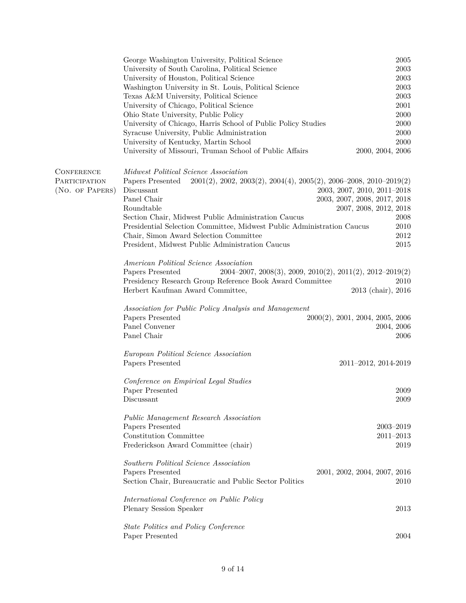|                   | George Washington University, Political Science                                                   | 2005                                          |
|-------------------|---------------------------------------------------------------------------------------------------|-----------------------------------------------|
|                   | University of South Carolina, Political Science                                                   | 2003                                          |
|                   | University of Houston, Political Science                                                          | 2003                                          |
|                   | Washington University in St. Louis, Political Science                                             | 2003                                          |
|                   | Texas A&M University, Political Science                                                           | 2003                                          |
|                   | University of Chicago, Political Science                                                          | 2001                                          |
|                   | Ohio State University, Public Policy                                                              | 2000                                          |
|                   | University of Chicago, Harris School of Public Policy Studies                                     | 2000                                          |
|                   | Syracuse University, Public Administration                                                        | 2000                                          |
|                   | University of Kentucky, Martin School                                                             | 2000                                          |
|                   | University of Missouri, Truman School of Public Affairs                                           | 2000, 2004, 2006                              |
| <b>CONFERENCE</b> | Midwest Political Science Association                                                             |                                               |
| PARTICIPATION     | $2001(2), 2002, 2003(2), 2004(4), 2005(2), 2006-2008, 2010-2019(2)$<br>Papers Presented           |                                               |
| (NO. OF PAPERS)   | Discussant                                                                                        | 2003, 2007, 2010, 2011-2018                   |
|                   | Panel Chair                                                                                       | 2003, 2007, 2008, 2017, 2018                  |
|                   | Roundtable                                                                                        | 2007, 2008, 2012, 2018                        |
|                   | Section Chair, Midwest Public Administration Caucus                                               | 2008                                          |
|                   |                                                                                                   | 2010                                          |
|                   | Presidential Selection Committee, Midwest Public Administration Caucus                            |                                               |
|                   | Chair, Simon Award Selection Committee                                                            | 2012                                          |
|                   | President, Midwest Public Administration Caucus                                                   | 2015                                          |
|                   | American Political Science Association                                                            |                                               |
|                   | $2004 - 2007$ , $2008(3)$ , $2009$ , $2010(2)$ , $2011(2)$ , $2012 - 2019(2)$<br>Papers Presented |                                               |
|                   | Presidency Research Group Reference Book Award Committee                                          | 2010                                          |
|                   | Herbert Kaufman Award Committee,                                                                  | 2013 (chair), 2016                            |
|                   | Association for Public Policy Analysis and Management                                             |                                               |
|                   | Papers Presented                                                                                  | $2000(2)$ , $2001$ , $2004$ , $2005$ , $2006$ |
|                   | Panel Convener                                                                                    | 2004, 2006                                    |
|                   | Panel Chair                                                                                       | 2006                                          |
|                   | European Political Science Association                                                            |                                               |
|                   | Papers Presented                                                                                  | 2011-2012, 2014-2019                          |
|                   | Conference on Empirical Legal Studies                                                             |                                               |
|                   | Paper Presented                                                                                   | 2009                                          |
|                   | Discussant                                                                                        | 2009                                          |
|                   | Public Management Research Association                                                            |                                               |
|                   | Papers Presented                                                                                  | 2003-2019                                     |
|                   | Constitution Committee                                                                            | $2011 - 2013$                                 |
|                   | Frederickson Award Committee (chair)                                                              | 2019                                          |
|                   | Southern Political Science Association                                                            |                                               |
|                   | Papers Presented                                                                                  | 2001, 2002, 2004, 2007, 2016                  |
|                   | Section Chair, Bureaucratic and Public Sector Politics                                            | 2010                                          |
|                   | International Conference on Public Policy                                                         |                                               |
|                   | Plenary Session Speaker                                                                           | 2013                                          |
|                   | <b>State Politics and Policy Conference</b>                                                       |                                               |
|                   | Paper Presented                                                                                   | 2004                                          |
|                   |                                                                                                   |                                               |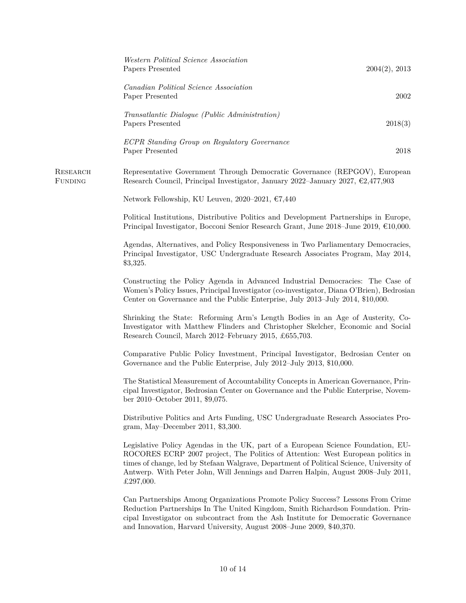|                     | Western Political Science Association<br>Papers Presented                                                                                                                                                                                                                                                                                                         | 2004(2), 2013 |
|---------------------|-------------------------------------------------------------------------------------------------------------------------------------------------------------------------------------------------------------------------------------------------------------------------------------------------------------------------------------------------------------------|---------------|
|                     | Canadian Political Science Association<br>Paper Presented                                                                                                                                                                                                                                                                                                         | 2002          |
|                     | Transatlantic Dialogue (Public Administration)<br>Papers Presented                                                                                                                                                                                                                                                                                                | 2018(3)       |
|                     | ECPR Standing Group on Regulatory Governance<br>Paper Presented                                                                                                                                                                                                                                                                                                   | 2018          |
| RESEARCH<br>FUNDING | Representative Government Through Democratic Governance (REPGOV), European<br>Research Council, Principal Investigator, January 2022–January 2027, $\epsilon$ 2,477,903                                                                                                                                                                                           |               |
|                     | Network Fellowship, KU Leuven, 2020–2021, $€7,440$                                                                                                                                                                                                                                                                                                                |               |
|                     | Political Institutions, Distributive Politics and Development Partnerships in Europe,<br>Principal Investigator, Bocconi Senior Research Grant, June 2018–June 2019, $€10,000$ .                                                                                                                                                                                  |               |
|                     | Agendas, Alternatives, and Policy Responsiveness in Two Parliamentary Democracies,<br>Principal Investigator, USC Undergraduate Research Associates Program, May 2014,<br>\$3,325.                                                                                                                                                                                |               |
|                     | Constructing the Policy Agenda in Advanced Industrial Democracies: The Case of<br>Women's Policy Issues, Principal Investigator (co-investigator, Diana O'Brien), Bedrosian<br>Center on Governance and the Public Enterprise, July 2013–July 2014, \$10,000.                                                                                                     |               |
|                     | Shrinking the State: Reforming Arm's Length Bodies in an Age of Austerity, Co-<br>Investigator with Matthew Flinders and Christopher Skelcher, Economic and Social<br>Research Council, March 2012–February 2015, £655,703.                                                                                                                                       |               |
|                     | Comparative Public Policy Investment, Principal Investigator, Bedrosian Center on<br>Governance and the Public Enterprise, July 2012–July 2013, \$10,000.                                                                                                                                                                                                         |               |
|                     | The Statistical Measurement of Accountability Concepts in American Governance, Prin-<br>cipal Investigator, Bedrosian Center on Governance and the Public Enterprise, Novem-<br>ber 2010–October 2011, \$9,075.                                                                                                                                                   |               |
|                     | Distributive Politics and Arts Funding, USC Undergraduate Research Associates Pro-<br>gram, May-December 2011, \$3,300.                                                                                                                                                                                                                                           |               |
|                     | Legislative Policy Agendas in the UK, part of a European Science Foundation, EU-<br>ROCORES ECRP 2007 project, The Politics of Attention: West European politics in<br>times of change, led by Stefaan Walgrave, Department of Political Science, University of<br>Antwerp. With Peter John, Will Jennings and Darren Halpin, August 2008–July 2011,<br>£297,000. |               |
|                     | Can Partnerships Among Organizations Promote Policy Success? Lessons From Crime<br>Reduction Partnerships In The United Kingdom, Smith Richardson Foundation. Prin-<br>cipal Investigator on subcontract from the Ash Institute for Democratic Governance<br>and Innovation, Harvard University, August 2008–June 2009, \$40,370.                                 |               |
|                     |                                                                                                                                                                                                                                                                                                                                                                   |               |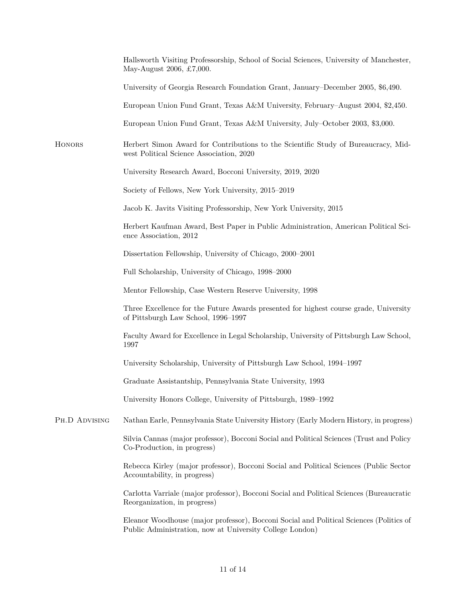|               | Hallsworth Visiting Professorship, School of Social Sciences, University of Manchester,<br>May-August 2006, £7,000.                                 |
|---------------|-----------------------------------------------------------------------------------------------------------------------------------------------------|
|               | University of Georgia Research Foundation Grant, January–December 2005, \$6,490.                                                                    |
|               | European Union Fund Grant, Texas A&M University, February–August 2004, \$2,450.                                                                     |
|               | European Union Fund Grant, Texas A&M University, July-October 2003, \$3,000.                                                                        |
| HONORS        | Herbert Simon Award for Contributions to the Scientific Study of Bureaucracy, Mid-<br>west Political Science Association, 2020                      |
|               | University Research Award, Bocconi University, 2019, 2020                                                                                           |
|               | Society of Fellows, New York University, 2015–2019                                                                                                  |
|               | Jacob K. Javits Visiting Professorship, New York University, 2015                                                                                   |
|               | Herbert Kaufman Award, Best Paper in Public Administration, American Political Sci-<br>ence Association, 2012                                       |
|               | Dissertation Fellowship, University of Chicago, 2000–2001                                                                                           |
|               | Full Scholarship, University of Chicago, 1998–2000                                                                                                  |
|               | Mentor Fellowship, Case Western Reserve University, 1998                                                                                            |
|               | Three Excellence for the Future Awards presented for highest course grade, University<br>of Pittsburgh Law School, 1996–1997                        |
|               | Faculty Award for Excellence in Legal Scholarship, University of Pittsburgh Law School,<br>1997                                                     |
|               | University Scholarship, University of Pittsburgh Law School, 1994–1997                                                                              |
|               | Graduate Assistantship, Pennsylvania State University, 1993                                                                                         |
|               | University Honors College, University of Pittsburgh, 1989–1992                                                                                      |
| PH.D ADVISING | Nathan Earle, Pennsylvania State University History (Early Modern History, in progress)                                                             |
|               | Silvia Cannas (major professor), Bocconi Social and Political Sciences (Trust and Policy<br>Co-Production, in progress)                             |
|               | Rebecca Kirley (major professor), Bocconi Social and Political Sciences (Public Sector<br>Accountability, in progress)                              |
|               | Carlotta Varriale (major professor), Bocconi Social and Political Sciences (Bureaucratic<br>Reorganization, in progress)                            |
|               | Eleanor Woodhouse (major professor), Bocconi Social and Political Sciences (Politics of<br>Public Administration, now at University College London) |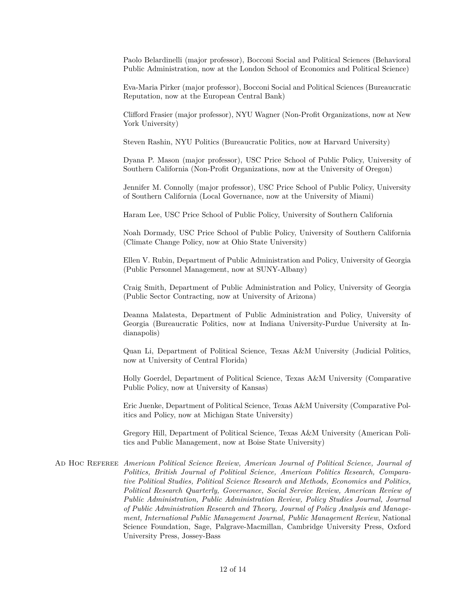Paolo Belardinelli (major professor), Bocconi Social and Political Sciences (Behavioral Public Administration, now at the London School of Economics and Political Science)

Eva-Maria Pirker (major professor), Bocconi Social and Political Sciences (Bureaucratic Reputation, now at the European Central Bank)

Clifford Frasier (major professor), NYU Wagner (Non-Profit Organizations, now at New York University)

Steven Rashin, NYU Politics (Bureaucratic Politics, now at Harvard University)

Dyana P. Mason (major professor), USC Price School of Public Policy, University of Southern California (Non-Profit Organizations, now at the University of Oregon)

Jennifer M. Connolly (major professor), USC Price School of Public Policy, University of Southern California (Local Governance, now at the University of Miami)

Haram Lee, USC Price School of Public Policy, University of Southern California

Noah Dormady, USC Price School of Public Policy, University of Southern California (Climate Change Policy, now at Ohio State University)

Ellen V. Rubin, Department of Public Administration and Policy, University of Georgia (Public Personnel Management, now at SUNY-Albany)

Craig Smith, Department of Public Administration and Policy, University of Georgia (Public Sector Contracting, now at University of Arizona)

Deanna Malatesta, Department of Public Administration and Policy, University of Georgia (Bureaucratic Politics, now at Indiana University-Purdue University at Indianapolis)

Quan Li, Department of Political Science, Texas A&M University (Judicial Politics, now at University of Central Florida)

Holly Goerdel, Department of Political Science, Texas A&M University (Comparative Public Policy, now at University of Kansas)

Eric Juenke, Department of Political Science, Texas A&M University (Comparative Politics and Policy, now at Michigan State University)

Gregory Hill, Department of Political Science, Texas A&M University (American Politics and Public Management, now at Boise State University)

Ad Hoc Referee *American Political Science Review, American Journal of Political Science, Journal of Politics, British Journal of Political Science, American Politics Research, Comparative Political Studies, Political Science Research and Methods, Economics and Politics, Political Research Quarterly, Governance, Social Service Review, American Review of Public Administration, Public Administration Review, Policy Studies Journal, Journal of Public Administration Research and Theory, Journal of Policy Analysis and Management, International Public Management Journal, Public Management Review*, National Science Foundation, Sage, Palgrave-Macmillan, Cambridge University Press, Oxford University Press, Jossey-Bass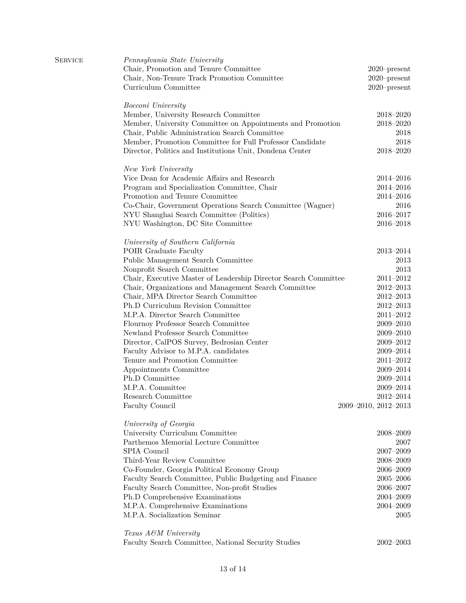| <b>SERVICE</b> | Pennsylvania State University<br>Chair, Promotion and Tenure Committee<br>Chair, Non-Tenure Track Promotion Committee<br>Curriculum Committee | $2020$ -present<br>$2020$ -present<br>$2020$ -present |
|----------------|-----------------------------------------------------------------------------------------------------------------------------------------------|-------------------------------------------------------|
|                | Bocconi University                                                                                                                            |                                                       |
|                | Member, University Research Committee                                                                                                         | $2018 - 2020$                                         |
|                | Member, University Committee on Appointments and Promotion                                                                                    | $2018 - 2020$                                         |
|                | Chair, Public Administration Search Committee                                                                                                 | 2018                                                  |
|                | Member, Promotion Committee for Full Professor Candidate                                                                                      | 2018                                                  |
|                | Director, Politics and Institutions Unit, Dondena Center                                                                                      | $2018 - 2020$                                         |
|                | New York University                                                                                                                           |                                                       |
|                | Vice Dean for Academic Affairs and Research                                                                                                   | 2014-2016                                             |
|                | Program and Specialization Committee, Chair                                                                                                   | 2014-2016                                             |
|                | Promotion and Tenure Committee                                                                                                                | $2014 - 2016$                                         |
|                | Co-Chair, Government Operations Search Committee (Wagner)                                                                                     | 2016                                                  |
|                | NYU Shanghai Search Committee (Politics)                                                                                                      | 2016-2017                                             |
|                | NYU Washington, DC Site Committee                                                                                                             | 2016-2018                                             |
|                | University of Southern California                                                                                                             |                                                       |
|                | POIR Graduate Faculty                                                                                                                         | $2013 - 2014$                                         |
|                | Public Management Search Committee                                                                                                            | 2013                                                  |
|                | Nonprofit Search Committee                                                                                                                    | $\,2013$                                              |
|                | Chair, Executive Master of Leadership Director Search Committee                                                                               | $2011 - 2012$                                         |
|                | Chair, Organizations and Management Search Committee                                                                                          | $2012 - 2013$                                         |
|                | Chair, MPA Director Search Committee                                                                                                          | $2012 - 2013$                                         |
|                | Ph.D Curriculum Revision Committee                                                                                                            | $2012 - 2013$                                         |
|                | M.P.A. Director Search Committee                                                                                                              | $2011 - 2012$                                         |
|                | Flournoy Professor Search Committee                                                                                                           | $2009 - 2010$                                         |
|                | Newland Professor Search Committee                                                                                                            | $2009 - 2010$                                         |
|                | Director, CalPOS Survey, Bedrosian Center                                                                                                     | $2009 - 2012$                                         |
|                | Faculty Advisor to M.P.A. candidates                                                                                                          | 2009-2014                                             |
|                | Tenure and Promotion Committee                                                                                                                | $2011 - 2012$                                         |
|                | Appointments Committee                                                                                                                        | 2009-2014                                             |
|                | Ph.D Committee                                                                                                                                | 2009-2014                                             |
|                | M.P.A. Committee                                                                                                                              | 2009-2014                                             |
|                | Research Committee                                                                                                                            | $2012 - 2014$                                         |
|                | Faculty Council                                                                                                                               | 2009-2010, 2012-2013                                  |
|                | University of Georgia                                                                                                                         |                                                       |
|                | University Curriculum Committee                                                                                                               | $2008 - 2009$                                         |
|                | Parthemos Memorial Lecture Committee                                                                                                          | 2007                                                  |
|                | SPIA Council                                                                                                                                  | $2007 - 2009$                                         |
|                | Third-Year Review Committee                                                                                                                   | $2008 - 2009$                                         |
|                | Co-Founder, Georgia Political Economy Group                                                                                                   | $2006 - 2009$                                         |
|                | Faculty Search Committee, Public Budgeting and Finance                                                                                        | $2005 - 2006$                                         |
|                | Faculty Search Committee, Non-profit Studies                                                                                                  | $2006 - 2007$                                         |
|                | Ph.D Comprehensive Examinations                                                                                                               | $2004 - 2009$                                         |
|                | M.P.A. Comprehensive Examinations                                                                                                             | $2004 - 2009$                                         |
|                | M.P.A. Socialization Seminar                                                                                                                  | 2005                                                  |
|                | Texas A&M University                                                                                                                          |                                                       |
|                | Faculty Search Committee, National Security Studies                                                                                           | $2002 - 2003$                                         |